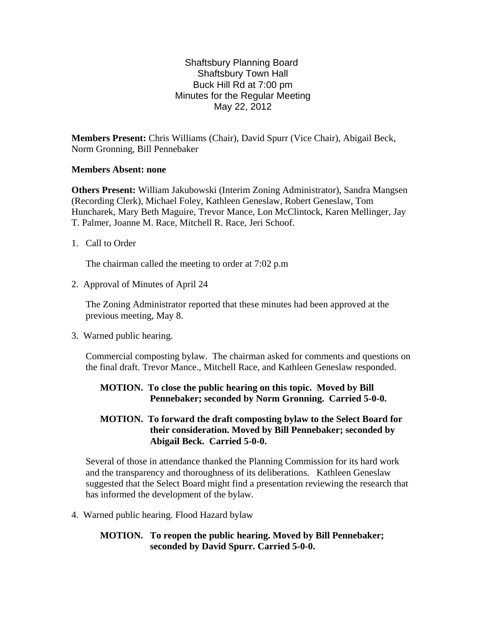#### Shaftsbury Planning Board Shaftsbury Town Hall Buck Hill Rd at 7:00 pm Minutes for the Regular Meeting May 22, 2012

**Members Present:** Chris Williams (Chair), David Spurr (Vice Chair), Abigail Beck, Norm Gronning, Bill Pennebaker

#### **Members Absent: none**

**Others Present:** William Jakubowski (Interim Zoning Administrator), Sandra Mangsen (Recording Clerk), Michael Foley, Kathleen Geneslaw, Robert Geneslaw, Tom Huncharek, Mary Beth Maguire, Trevor Mance, Lon McClintock, Karen Mellinger, Jay T. Palmer, Joanne M. Race, Mitchell R. Race, Jeri Schoof.

1. Call to Order

The chairman called the meeting to order at 7:02 p.m

2. Approval of Minutes of April 24

The Zoning Administrator reported that these minutes had been approved at the previous meeting, May 8.

3. Warned public hearing.

Commercial composting bylaw. The chairman asked for comments and questions on the final draft. Trevor Mance., Mitchell Race, and Kathleen Geneslaw responded.

### **MOTION. To close the public hearing on this topic. Moved by Bill Pennebaker; seconded by Norm Gronning. Carried 5-0-0.**

### **MOTION. To forward the draft composting bylaw to the Select Board for their consideration. Moved by Bill Pennebaker; seconded by Abigail Beck. Carried 5-0-0.**

Several of those in attendance thanked the Planning Commission for its hard work and the transparency and thoroughness of its deliberations. Kathleen Geneslaw suggested that the Select Board might find a presentation reviewing the research that has informed the development of the bylaw.

4. Warned public hearing. Flood Hazard bylaw

### **MOTION. To reopen the public hearing. Moved by Bill Pennebaker; seconded by David Spurr. Carried 5-0-0.**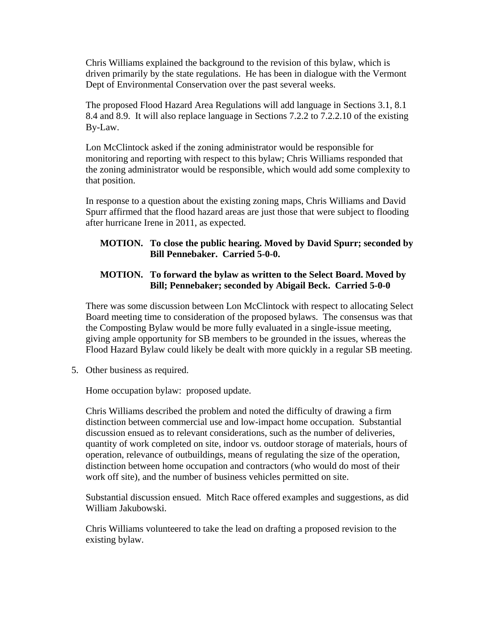Chris Williams explained the background to the revision of this bylaw, which is driven primarily by the state regulations. He has been in dialogue with the Vermont Dept of Environmental Conservation over the past several weeks.

The proposed Flood Hazard Area Regulations will add language in Sections 3.1, 8.1 8.4 and 8.9. It will also replace language in Sections 7.2.2 to 7.2.2.10 of the existing By-Law.

Lon McClintock asked if the zoning administrator would be responsible for monitoring and reporting with respect to this bylaw; Chris Williams responded that the zoning administrator would be responsible, which would add some complexity to that position.

In response to a question about the existing zoning maps, Chris Williams and David Spurr affirmed that the flood hazard areas are just those that were subject to flooding after hurricane Irene in 2011, as expected.

# **MOTION. To close the public hearing. Moved by David Spurr; seconded by Bill Pennebaker. Carried 5-0-0.**

# **MOTION. To forward the bylaw as written to the Select Board. Moved by Bill; Pennebaker; seconded by Abigail Beck. Carried 5-0-0**

There was some discussion between Lon McClintock with respect to allocating Select Board meeting time to consideration of the proposed bylaws. The consensus was that the Composting Bylaw would be more fully evaluated in a single-issue meeting, giving ample opportunity for SB members to be grounded in the issues, whereas the Flood Hazard Bylaw could likely be dealt with more quickly in a regular SB meeting.

5. Other business as required.

Home occupation bylaw: proposed update.

Chris Williams described the problem and noted the difficulty of drawing a firm distinction between commercial use and low-impact home occupation. Substantial discussion ensued as to relevant considerations, such as the number of deliveries, quantity of work completed on site, indoor vs. outdoor storage of materials, hours of operation, relevance of outbuildings, means of regulating the size of the operation, distinction between home occupation and contractors (who would do most of their work off site), and the number of business vehicles permitted on site.

Substantial discussion ensued. Mitch Race offered examples and suggestions, as did William Jakubowski.

Chris Williams volunteered to take the lead on drafting a proposed revision to the existing bylaw.